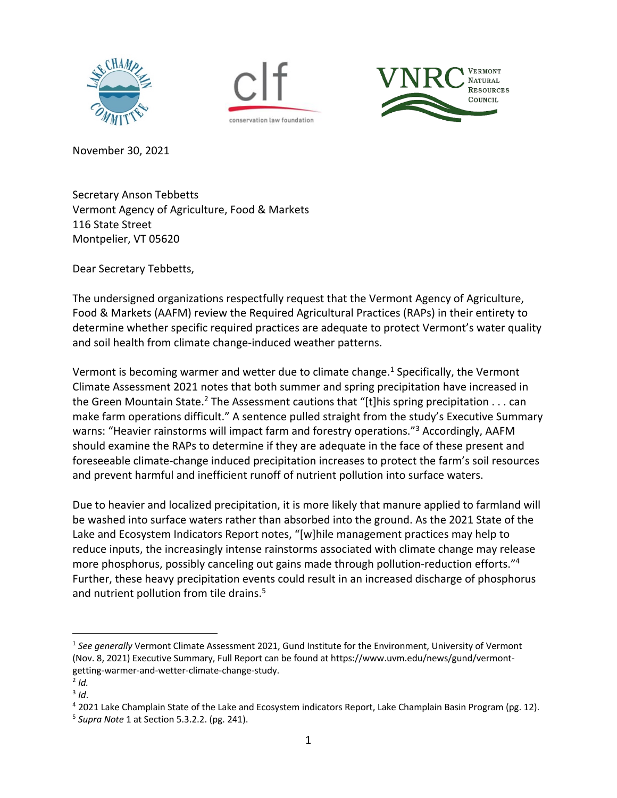





November 30, 2021

Secretary Anson Tebbetts Vermont Agency of Agriculture, Food & Markets 116 State Street Montpelier, VT 05620

Dear Secretary Tebbetts,

The undersigned organizations respectfully request that the Vermont Agency of Agriculture, Food & Markets (AAFM) review the Required Agricultural Practices (RAPs) in their entirety to determine whether specific required practices are adequate to protect Vermont's water quality and soil health from climate change-induced weather patterns.

Vermont is becoming warmer and wetter due to climate change. <sup>1</sup> Specifically, the Vermont Climate Assessment 2021 notes that both summer and spring precipitation have increased in the Green Mountain State.<sup>2</sup> The Assessment cautions that "[t]his spring precipitation . . . can make farm operations difficult." A sentence pulled straight from the study's Executive Summary warns: "Heavier rainstorms will impact farm and forestry operations."<sup>3</sup> Accordingly, AAFM should examine the RAPs to determine if they are adequate in the face of these present and foreseeable climate-change induced precipitation increases to protect the farm's soil resources and prevent harmful and inefficient runoff of nutrient pollution into surface waters.

Due to heavier and localized precipitation, it is more likely that manure applied to farmland will be washed into surface waters rather than absorbed into the ground. As the 2021 State of the Lake and Ecosystem Indicators Report notes, "[w]hile management practices may help to reduce inputs, the increasingly intense rainstorms associated with climate change may release more phosphorus, possibly canceling out gains made through pollution-reduction efforts."4 Further, these heavy precipitation events could result in an increased discharge of phosphorus and nutrient pollution from tile drains.<sup>5</sup>

<sup>&</sup>lt;sup>1</sup> See generally Vermont Climate Assessment 2021, Gund Institute for the Environment, University of Vermont (Nov. 8, 2021) Executive Summary, Full Report can be found at https://www.uvm.edu/news/gund/vermontgetting-warmer-and-wetter-climate-change-study.

 $<sup>2</sup>$  *Id.*</sup>

<sup>&</sup>lt;sup>3</sup> Id.<br><sup>4</sup> 2021 Lake Champlain State of the Lake and Ecosystem indicators Report, Lake Champlain Basin Program (pg. 12).

<sup>5</sup> *Supra Note* 1 at Section 5.3.2.2. (pg. 241).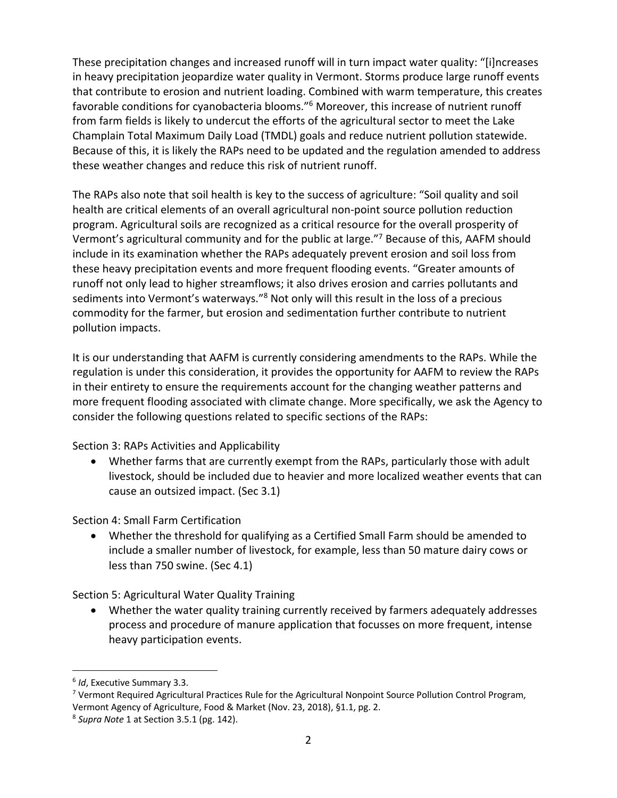These precipitation changes and increased runoff will in turn impact water quality: "[i]ncreases in heavy precipitation jeopardize water quality in Vermont. Storms produce large runoff events that contribute to erosion and nutrient loading. Combined with warm temperature, this creates favorable conditions for cyanobacteria blooms."6 Moreover, this increase of nutrient runoff from farm fields is likely to undercut the efforts of the agricultural sector to meet the Lake Champlain Total Maximum Daily Load (TMDL) goals and reduce nutrient pollution statewide. Because of this, it is likely the RAPs need to be updated and the regulation amended to address these weather changes and reduce this risk of nutrient runoff.

The RAPs also note that soil health is key to the success of agriculture: "Soil quality and soil health are critical elements of an overall agricultural non-point source pollution reduction program. Agricultural soils are recognized as a critical resource for the overall prosperity of Vermont's agricultural community and for the public at large."7 Because of this, AAFM should include in its examination whether the RAPs adequately prevent erosion and soil loss from these heavy precipitation events and more frequent flooding events. "Greater amounts of runoff not only lead to higher streamflows; it also drives erosion and carries pollutants and sediments into Vermont's waterways."8 Not only will this result in the loss of a precious commodity for the farmer, but erosion and sedimentation further contribute to nutrient pollution impacts.

It is our understanding that AAFM is currently considering amendments to the RAPs. While the regulation is under this consideration, it provides the opportunity for AAFM to review the RAPs in their entirety to ensure the requirements account for the changing weather patterns and more frequent flooding associated with climate change. More specifically, we ask the Agency to consider the following questions related to specific sections of the RAPs:

Section 3: RAPs Activities and Applicability

• Whether farms that are currently exempt from the RAPs, particularly those with adult livestock, should be included due to heavier and more localized weather events that can cause an outsized impact. (Sec 3.1)

Section 4: Small Farm Certification

• Whether the threshold for qualifying as a Certified Small Farm should be amended to include a smaller number of livestock, for example, less than 50 mature dairy cows or less than 750 swine. (Sec 4.1)

Section 5: Agricultural Water Quality Training

• Whether the water quality training currently received by farmers adequately addresses process and procedure of manure application that focusses on more frequent, intense heavy participation events.

<sup>6</sup> *Id*, Executive Summary 3.3.

<sup>7</sup> Vermont Required Agricultural Practices Rule for the Agricultural Nonpoint Source Pollution Control Program, Vermont Agency of Agriculture, Food & Market (Nov. 23, 2018), §1.1, pg. 2.

<sup>8</sup> *Supra Note* 1 at Section 3.5.1 (pg. 142).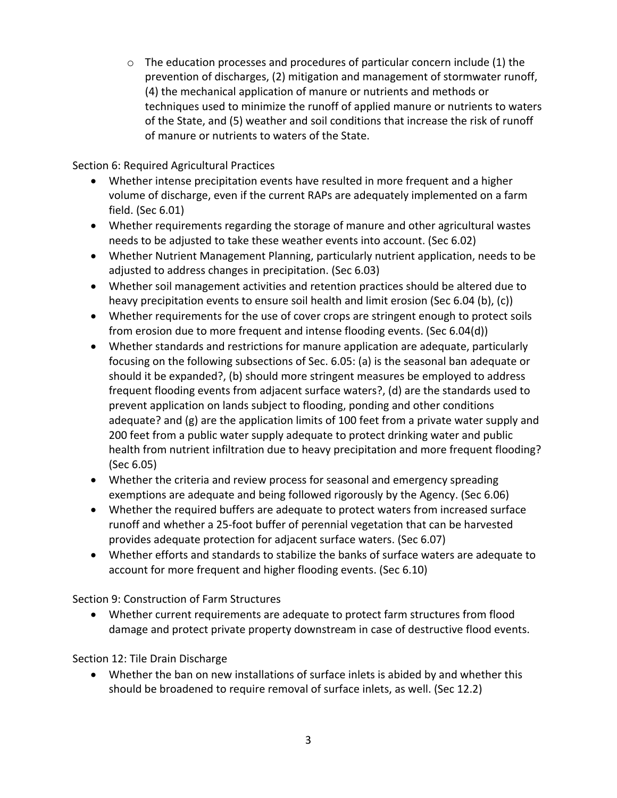$\circ$  The education processes and procedures of particular concern include (1) the prevention of discharges, (2) mitigation and management of stormwater runoff, (4) the mechanical application of manure or nutrients and methods or techniques used to minimize the runoff of applied manure or nutrients to waters of the State, and (5) weather and soil conditions that increase the risk of runoff of manure or nutrients to waters of the State.

Section 6: Required Agricultural Practices

- Whether intense precipitation events have resulted in more frequent and a higher volume of discharge, even if the current RAPs are adequately implemented on a farm field. (Sec 6.01)
- Whether requirements regarding the storage of manure and other agricultural wastes needs to be adjusted to take these weather events into account. (Sec 6.02)
- Whether Nutrient Management Planning, particularly nutrient application, needs to be adjusted to address changes in precipitation. (Sec 6.03)
- Whether soil management activities and retention practices should be altered due to heavy precipitation events to ensure soil health and limit erosion (Sec 6.04 (b), (c))
- Whether requirements for the use of cover crops are stringent enough to protect soils from erosion due to more frequent and intense flooding events. (Sec 6.04(d))
- Whether standards and restrictions for manure application are adequate, particularly focusing on the following subsections of Sec. 6.05: (a) is the seasonal ban adequate or should it be expanded?, (b) should more stringent measures be employed to address frequent flooding events from adjacent surface waters?, (d) are the standards used to prevent application on lands subject to flooding, ponding and other conditions adequate? and (g) are the application limits of 100 feet from a private water supply and 200 feet from a public water supply adequate to protect drinking water and public health from nutrient infiltration due to heavy precipitation and more frequent flooding? (Sec 6.05)
- Whether the criteria and review process for seasonal and emergency spreading exemptions are adequate and being followed rigorously by the Agency. (Sec 6.06)
- Whether the required buffers are adequate to protect waters from increased surface runoff and whether a 25-foot buffer of perennial vegetation that can be harvested provides adequate protection for adjacent surface waters. (Sec 6.07)
- Whether efforts and standards to stabilize the banks of surface waters are adequate to account for more frequent and higher flooding events. (Sec 6.10)

Section 9: Construction of Farm Structures

• Whether current requirements are adequate to protect farm structures from flood damage and protect private property downstream in case of destructive flood events.

Section 12: Tile Drain Discharge

• Whether the ban on new installations of surface inlets is abided by and whether this should be broadened to require removal of surface inlets, as well. (Sec 12.2)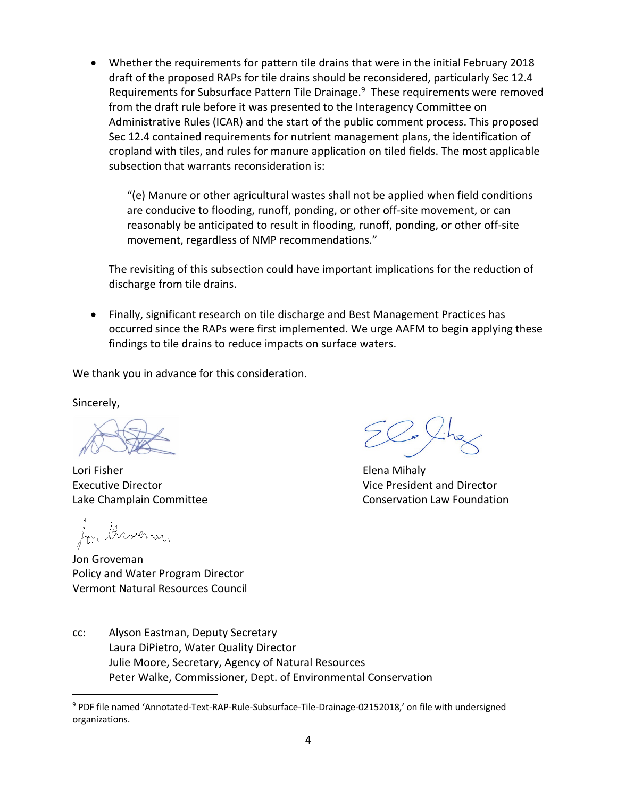• Whether the requirements for pattern tile drains that were in the initial February 2018 draft of the proposed RAPs for tile drains should be reconsidered, particularly Sec 12.4 Requirements for Subsurface Pattern Tile Drainage.<sup>9</sup> These requirements were removed from the draft rule before it was presented to the Interagency Committee on Administrative Rules (ICAR) and the start of the public comment process. This proposed Sec 12.4 contained requirements for nutrient management plans, the identification of cropland with tiles, and rules for manure application on tiled fields. The most applicable subsection that warrants reconsideration is:

"(e) Manure or other agricultural wastes shall not be applied when field conditions are conducive to flooding, runoff, ponding, or other off-site movement, or can reasonably be anticipated to result in flooding, runoff, ponding, or other off-site movement, regardless of NMP recommendations."

The revisiting of this subsection could have important implications for the reduction of discharge from tile drains.

• Finally, significant research on tile discharge and Best Management Practices has occurred since the RAPs were first implemented. We urge AAFM to begin applying these findings to tile drains to reduce impacts on surface waters.

We thank you in advance for this consideration.

Sincerely,

 Lori Fisher Elena Mihaly Executive Director Vice President and Director

In Grounar

Jon Groveman Policy and Water Program Director Vermont Natural Resources Council

Lake Champlain Committee **Conservation Law Foundation** 

cc: Alyson Eastman, Deputy Secretary Laura DiPietro, Water Quality Director Julie Moore, Secretary, Agency of Natural Resources Peter Walke, Commissioner, Dept. of Environmental Conservation

<sup>9</sup> PDF file named 'Annotated-Text-RAP-Rule-Subsurface-Tile-Drainage-02152018,' on file with undersigned organizations.